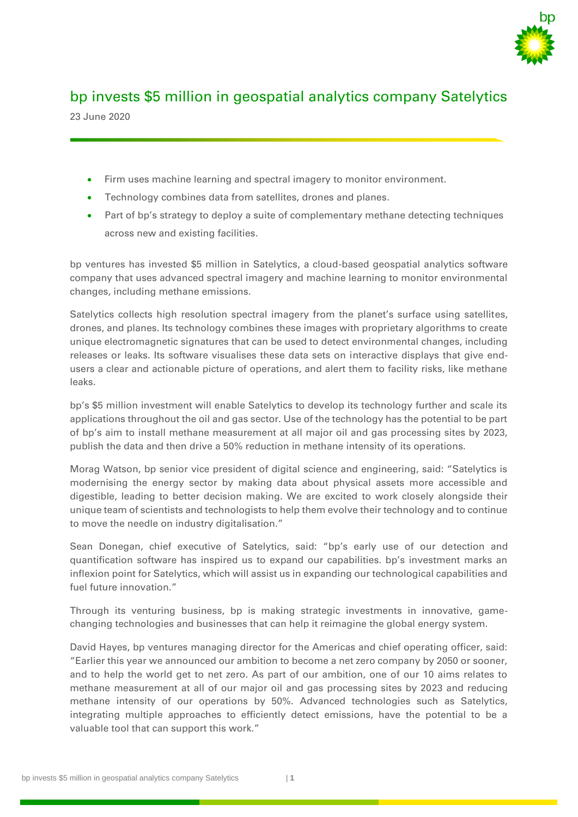

# bp invests \$5 million in geospatial analytics company Satelytics

23 June 2020

- Firm uses machine learning and spectral imagery to monitor environment.
- Technology combines data from satellites, drones and planes.
- Part of bp's strategy to deploy a suite of complementary methane detecting techniques across new and existing facilities.

bp ventures has invested \$5 million in Satelytics, a cloud-based geospatial analytics software company that uses advanced spectral imagery and machine learning to monitor environmental changes, including methane emissions.

Satelytics collects high resolution spectral imagery from the planet's surface using satellites, drones, and planes. Its technology combines these images with proprietary algorithms to create unique electromagnetic signatures that can be used to detect environmental changes, including releases or leaks. Its software visualises these data sets on interactive displays that give endusers a clear and actionable picture of operations, and alert them to facility risks, like methane leaks.

bp's \$5 million investment will enable Satelytics to develop its technology further and scale its applications throughout the oil and gas sector. Use of the technology has the potential to be part of bp's aim to install methane measurement at all major oil and gas processing sites by 2023, publish the data and then drive a 50% reduction in methane intensity of its operations.

Morag Watson, bp senior vice president of digital science and engineering, said: "Satelytics is modernising the energy sector by making data about physical assets more accessible and digestible, leading to better decision making. We are excited to work closely alongside their unique team of scientists and technologists to help them evolve their technology and to continue to move the needle on industry digitalisation."

Sean Donegan, chief executive of Satelytics, said: "bp's early use of our detection and quantification software has inspired us to expand our capabilities. bp's investment marks an inflexion point for Satelytics, which will assist us in expanding our technological capabilities and fuel future innovation."

Through its venturing business, bp is making strategic investments in innovative, gamechanging technologies and businesses that can help it reimagine the global energy system.

David Hayes, bp ventures managing director for the Americas and chief operating officer, said: "Earlier this year we announced our ambition to become a net zero company by 2050 or sooner, and to help the world get to net zero. As part of our ambition, one of our 10 aims relates to methane measurement at all of our major oil and gas processing sites by 2023 and reducing methane intensity of our operations by 50%. Advanced technologies such as Satelytics, integrating multiple approaches to efficiently detect emissions, have the potential to be a valuable tool that can support this work."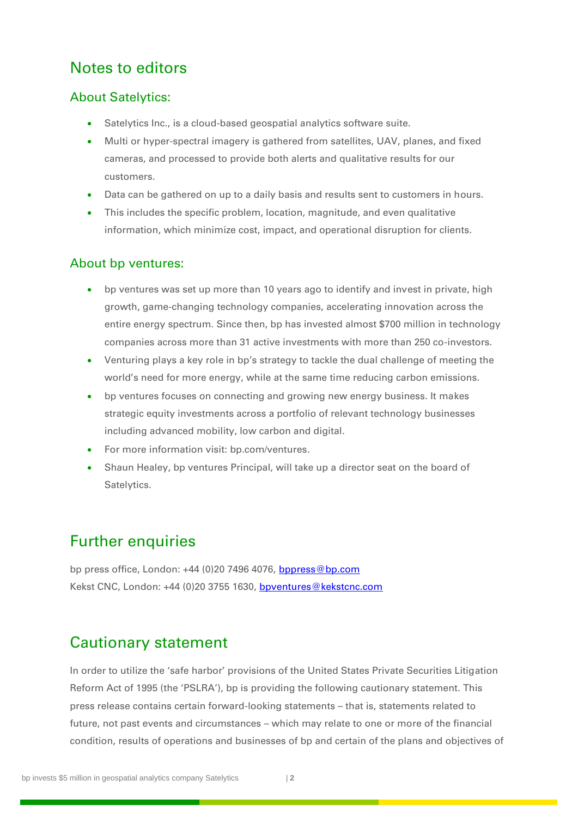## Notes to editors

### About Satelytics:

- Satelytics Inc., is a cloud-based geospatial analytics software suite.
- Multi or hyper-spectral imagery is gathered from satellites, UAV, planes, and fixed cameras, and processed to provide both alerts and qualitative results for our customers.
- Data can be gathered on up to a daily basis and results sent to customers in hours.
- This includes the specific problem, location, magnitude, and even qualitative information, which minimize cost, impact, and operational disruption for clients.

#### About bp ventures:

- bp ventures was set up more than 10 years ago to identify and invest in private, high growth, game-changing technology companies, accelerating innovation across the entire energy spectrum. Since then, bp has invested almost \$700 million in technology companies across more than 31 active investments with more than 250 co-investors.
- Venturing plays a key role in bp's strategy to tackle the dual challenge of meeting the world's need for more energy, while at the same time reducing carbon emissions.
- bp ventures focuses on connecting and growing new energy business. It makes strategic equity investments across a portfolio of relevant technology businesses including advanced mobility, low carbon and digital.
- For more information visit: bp.com/ventures.
- Shaun Healey, bp ventures Principal, will take up a director seat on the board of Satelytics.

## Further enquiries

bp press office, London: +44 (0)20 7496 4076, [bppress@bp.com](mailto:bppress@bp.com) Kekst CNC, London: +44 (0)20 3755 1630, [bpventures@kekstcnc.com](mailto:bpventures@kekstcnc.com)

## Cautionary statement

In order to utilize the 'safe harbor' provisions of the United States Private Securities Litigation Reform Act of 1995 (the 'PSLRA'), bp is providing the following cautionary statement. This press release contains certain forward-looking statements – that is, statements related to future, not past events and circumstances – which may relate to one or more of the financial condition, results of operations and businesses of bp and certain of the plans and objectives of